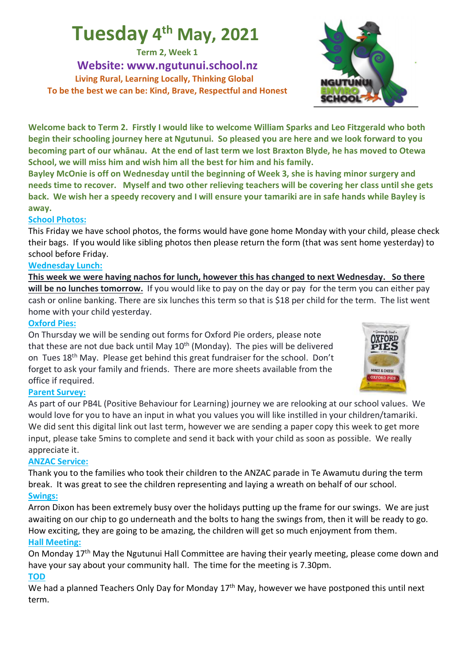## **Tuesday 4th May, 2021**

**Term 2, Week 1**

**Website: www.ngutunui.school.nz Living Rural, Learning Locally, Thinking Global To be the best we can be: Kind, Brave, Respectful and Honest**

**Welcome back to Term 2. Firstly I would like to welcome William Sparks and Leo Fitzgerald who both begin their schooling journey here at Ngutunui. So pleased you are here and we look forward to you becoming part of our whānau. At the end of last term we lost Braxton Blyde, he has moved to Otewa School, we will miss him and wish him all the best for him and his family.**

**Bayley McOnie is off on Wednesday until the beginning of Week 3, she is having minor surgery and needs time to recover. Myself and two other relieving teachers will be covering her class until she gets back. We wish her a speedy recovery and I will ensure your tamariki are in safe hands while Bayley is away.**

#### **School Photos:**

This Friday we have school photos, the forms would have gone home Monday with your child, please check their bags. If you would like sibling photos then please return the form (that was sent home yesterday) to school before Friday.

#### **Wednesday Lunch:**

**This week we were having nachos for lunch, however this has changed to next Wednesday. So there will be no lunches tomorrow.** If you would like to pay on the day or pay for the term you can either pay cash or online banking. There are six lunches this term so that is \$18 per child for the term. The list went home with your child yesterday.

#### **Oxford Pies:**

On Thursday we will be sending out forms for Oxford Pie orders, please note that these are not due back until May  $10<sup>th</sup>$  (Monday). The pies will be delivered on Tues  $18<sup>th</sup>$  May. Please get behind this great fundraiser for the school. Don't forget to ask your family and friends. There are more sheets available from the office if required.

#### **Parent Survey:**

As part of our PB4L (Positive Behaviour for Learning) journey we are relooking at our school values. We would love for you to have an input in what you values you will like instilled in your children/tamariki. We did sent this digital link out last term, however we are sending a paper copy this week to get more input, please take 5mins to complete and send it back with your child as soon as possible. We really appreciate it.

#### **ANZAC Service:**

Thank you to the families who took their children to the ANZAC parade in Te Awamutu during the term break. It was great to see the children representing and laying a wreath on behalf of our school. **Swings:**

Arron Dixon has been extremely busy over the holidays putting up the frame for our swings. We are just awaiting on our chip to go underneath and the bolts to hang the swings from, then it will be ready to go. How exciting, they are going to be amazing, the children will get so much enjoyment from them. **Hall Meeting:**

On Monday 17<sup>th</sup> May the Ngutunui Hall Committee are having their yearly meeting, please come down and have your say about your community hall. The time for the meeting is 7.30pm. **TOD**

We had a planned Teachers Only Day for Monday 17<sup>th</sup> May, however we have postponed this until next term.



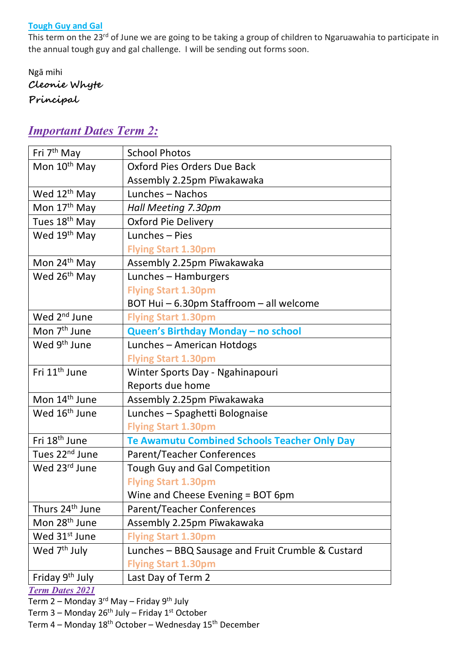#### **Tough Guy and Gal**

This term on the 23<sup>rd</sup> of June we are going to be taking a group of children to Ngaruawahia to participate in the annual tough guy and gal challenge. I will be sending out forms soon.

Ngā mihi **Cleonie Whyte Principal**

## *Important Dates Term 2:*

| Fri 7 <sup>th</sup> May     | <b>School Photos</b>                                |
|-----------------------------|-----------------------------------------------------|
| Mon 10 <sup>th</sup> May    | Oxford Pies Orders Due Back                         |
|                             | Assembly 2.25pm Pīwakawaka                          |
| Wed 12 <sup>th</sup> May    | Lunches - Nachos                                    |
| Mon 17 <sup>th</sup> May    | Hall Meeting 7.30pm                                 |
| Tues 18 <sup>th</sup> May   | <b>Oxford Pie Delivery</b>                          |
| Wed 19 <sup>th</sup> May    | Lunches - Pies                                      |
|                             | <b>Flying Start 1.30pm</b>                          |
| Mon 24 <sup>th</sup> May    | Assembly 2.25pm Pīwakawaka                          |
| Wed 26 <sup>th</sup> May    | Lunches - Hamburgers                                |
|                             | <b>Flying Start 1.30pm</b>                          |
|                             | BOT Hui - 6.30pm Staffroom - all welcome            |
| Wed 2 <sup>nd</sup> June    | <b>Flying Start 1.30pm</b>                          |
| Mon 7 <sup>th</sup> June    | Queen's Birthday Monday - no school                 |
| Wed 9 <sup>th</sup> June    | Lunches - American Hotdogs                          |
|                             | <b>Flying Start 1.30pm</b>                          |
| Fri 11 <sup>th</sup> June   | Winter Sports Day - Ngahinapouri                    |
|                             | Reports due home                                    |
| Mon 14 <sup>th</sup> June   | Assembly 2.25pm Pīwakawaka                          |
| Wed 16 <sup>th</sup> June   | Lunches - Spaghetti Bolognaise                      |
|                             | <b>Flying Start 1.30pm</b>                          |
| Fri 18 <sup>th</sup> June   | <b>Te Awamutu Combined Schools Teacher Only Day</b> |
| Tues 22 <sup>nd</sup> June  | <b>Parent/Teacher Conferences</b>                   |
| Wed 23rd June               | <b>Tough Guy and Gal Competition</b>                |
|                             | <b>Flying Start 1.30pm</b>                          |
|                             | Wine and Cheese Evening = BOT 6pm                   |
| Thurs 24 <sup>th</sup> June | <b>Parent/Teacher Conferences</b>                   |
| Mon 28 <sup>th</sup> June   | Assembly 2.25pm Pīwakawaka                          |
| Wed 31 <sup>st</sup> June   | <b>Flying Start 1.30pm</b>                          |
| Wed 7 <sup>th</sup> July    | Lunches - BBQ Sausage and Fruit Crumble & Custard   |
|                             | <b>Flying Start 1.30pm</b>                          |
| Friday 9th July             | Last Day of Term 2                                  |
|                             |                                                     |

*Term Dates 2021*

Term  $2$  – Monday 3<sup>rd</sup> May – Friday 9<sup>th</sup> July

Term  $3$  – Monday 26<sup>th</sup> July – Friday 1<sup>st</sup> October

Term 4 – Monday 18th October – Wednesday 15th December